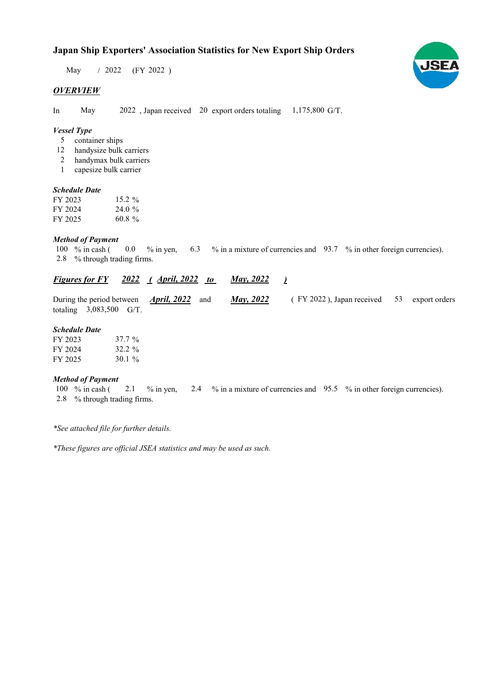# **Japan Ship Exporters' Association Statistics for New Export Ship Orders**

 $/ 2022$  (FY 2022) May

### *OVERVIEW*

In May  $2022$ , Japan received 20 export orders totaling  $1,175,800$  G/T.

#### *Vessel Type*

- 5 container ships
- handysize bulk carriers 12
- handymax bulk carriers 2
- capesize bulk carrier 1

#### *Schedule Date*

| FY 2023 | 15.2 $\%$ |
|---------|-----------|
| FY 2024 | 24.0%     |
| FY 2025 | $60.8\%$  |

#### *Method of Payment*

% in cash ( $\ 0.0\$  % in yen,  $\ 6.3\$  % in a mixture of currencies and  $\ 93.7\$  % in other foreign currencies). % through trading firms. 2.8 0.0 100 % in cash (

#### *Figures for FY* 2022 (*April, 2022 to May, 2022* ) *May, 2022*

|                           | During the period between $\bm{April}$ , 2022 and | <u>May, 2022</u> | (FY 2022), Japan received 53 export orders |  |
|---------------------------|---------------------------------------------------|------------------|--------------------------------------------|--|
| totaling $3,083,500$ G/T. |                                                   |                  |                                            |  |

### *Schedule Date*

| FY 2023 | $37.7\%$  |
|---------|-----------|
| FY 2024 | $32.2 \%$ |
| FY 2025 | $30.1\%$  |

#### *Method of Payment*

% in cash ( $\ 2.1\$  % in yen,  $\ 2.4\$  % in a mixture of currencies and  $\ 95.5\$  % in other foreign currencies). % through trading firms. 2.8 100 % in cash (

*\*See attached file for further details.*

*\*These figures are official JSEA statistics and may be used as such.*

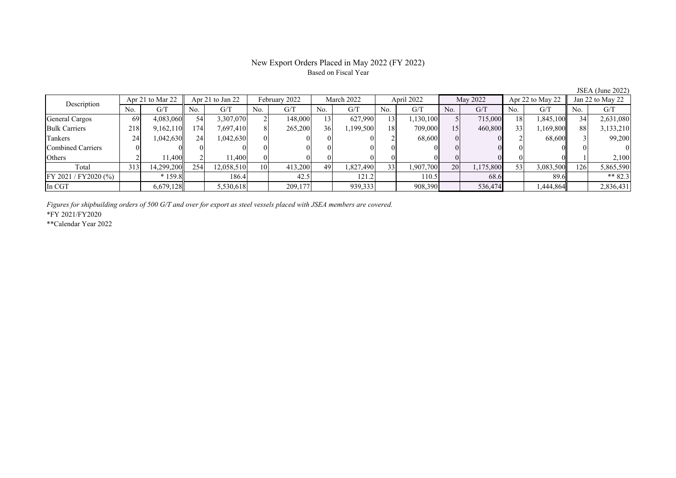# New Export Orders Placed in May 2022 (FY 2022) Based on Fiscal Year

JSEA (June 2022)

| Description           | Apr 21 to Mar 22 |            | Apr 21 to Jan 22 |            | February 2022 |         | March 2022 |           | April 2022 |           | May 2022  |           | Apr 22 to May 22 |           | Jan 22 to May 22 |           |
|-----------------------|------------------|------------|------------------|------------|---------------|---------|------------|-----------|------------|-----------|-----------|-----------|------------------|-----------|------------------|-----------|
|                       | No.              | G/T        | No.              | G/T        | No.           | G/T     | No.        | G/T       | No.        | G/T       | No.       | G/T       | No.              | G/T       | No.              | G/T       |
| General Cargos        | 69               | 4,083,060  | 54               | 3,307,070  |               | 148,000 | 13.        | 627,990   | 13         | 1,130,100 |           | 715,000   | 18               | 1,845,100 | 34 <sub>1</sub>  | 2,631,080 |
| <b>Bulk Carriers</b>  | 218              | 9,162,110  | 174              | 7,697,410  | 8             | 265,200 | 36         | 1,199,500 | 18         | 709,000   | 15        | 460,800   | 33               | 1,169,800 | 88               | 3,133,210 |
| Tankers               | 24               | 0.042,630  | 24               | 1,042,630  | $\Omega$      |         |            |           |            | 68,600    |           |           |                  | 68,600    |                  | 99,200    |
| Combined Carriers     |                  |            |                  |            |               |         |            |           |            |           |           |           |                  |           |                  | $\Omega$  |
| Others                |                  | 11.400     |                  | 1.400      | $\Omega$      |         |            |           |            |           |           |           |                  |           |                  | 2,100     |
| Total                 | 313              | 14.299.200 | 254              | 12,058,510 | 10            | 413,200 | 49         | 1,827,490 | 33         | 1.907.700 | <b>20</b> | 1,175,800 | 53               | 3,083,500 | 126 <sub>1</sub> | 5,865,590 |
| FY 2021 / FY 2020 (%) |                  | $*159.8$   |                  | 186.4      |               | 42.5    |            | 121.2     |            | 110.5     |           | 68.6      |                  | 89.6      |                  | ** 82.3   |
| In CGT                |                  | 6,679,128  |                  | 5,530,618  |               | 209,177 |            | 939,333   |            | 908,390   |           | 536,474   |                  | 1,444,864 |                  | 2,836,431 |

*Figures for shipbuilding orders of 500 G/T and over for export as steel vessels placed with JSEA members are covered.*

\*FY 2021/FY2020

\*\*Calendar Year 2022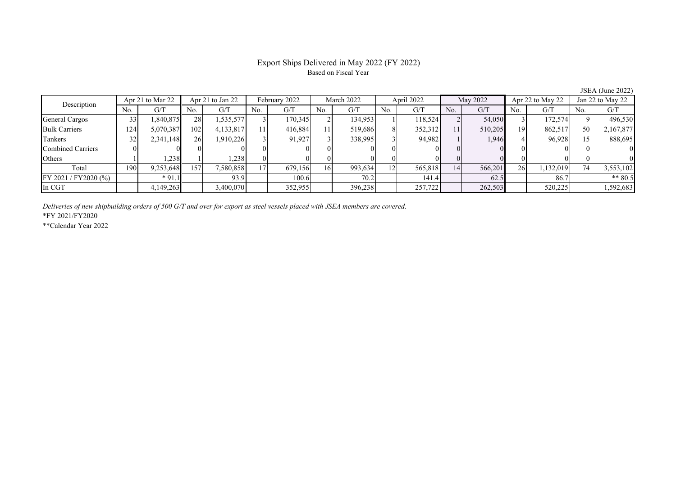# Export Ships Delivered in May 2022 (FY 2022) Based on Fiscal Year

JSEA (June 2022)

| Description           | Apr 21 to Mar 22 |           | Apr 21 to Jan 22 |           | February 2022 |         | March 2022 |         | April 2022 |         | May 2022 |         | Apr 22 to May 22 |           | Jan 22 to May 22 |           |
|-----------------------|------------------|-----------|------------------|-----------|---------------|---------|------------|---------|------------|---------|----------|---------|------------------|-----------|------------------|-----------|
|                       | No.              | G/T       | No.              | G/T       | No.           | G/T     | No.        | G/T     | No.        | G/T     | No.      | G/T     | No.              | G/T       | No.              | G/T       |
| <b>General Cargos</b> | 33               | .840.875  | 28               | 1,535,577 |               | 170,345 |            | 134,953 |            | 118,524 |          | 54,050  |                  | 172,574   |                  | 496,530   |
| <b>Bulk Carriers</b>  | 124              | 5,070,387 | 102              | 4,133,817 |               | 416,884 |            | 519,686 |            | 352,312 | 11       | 510,205 | 19               | 862,517   | 50               | 2,167,877 |
| Tankers               | 32               | 2,341,148 | 26               | 1,910,226 |               | 91.927  |            | 338,995 |            | 94,982  |          | 1,946   |                  | 96,928    |                  | 888,695   |
| Combined Carriers     |                  |           |                  |           |               |         |            |         |            |         |          |         |                  |           |                  |           |
| Others                |                  | 1,238     |                  | 1,238     |               |         |            |         |            |         |          |         |                  |           |                  |           |
| Total                 | 190              | 9,253,648 | 157              | 7,580,858 | 17            | 679,156 | 16         | 993,634 | 12.        | 565,818 | 14       | 566,201 | 26               | 1,132,019 | 74               | 3,553,102 |
| FY 2021 / FY 2020 (%) |                  | $*91.1$   |                  | 93.9      |               | 100.6   |            | 70.2    |            | 141.4   |          | 62.5    |                  | 86.7      |                  | ** $80.5$ |
| In CGT                |                  | 4,149,263 |                  | 3,400,070 |               | 352,955 |            | 396,238 |            | 257,722 |          | 262,503 |                  | 520,225   |                  | 1,592,683 |

*Deliveries of new shipbuilding orders of 500 G/T and over for export as steel vessels placed with JSEA members are covered.*

\*FY 2021/FY2020

\*\*Calendar Year 2022